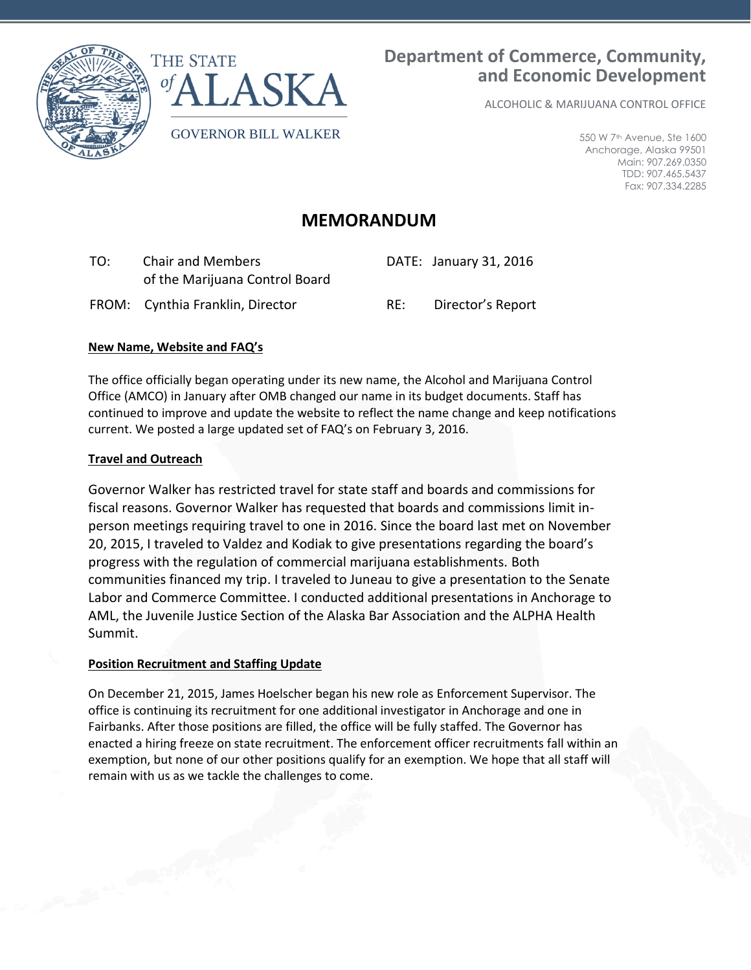

ALCOHOLIC & MARIJUANA CONTROL OFFICE

550 W 7th Avenue, Ste 1600 Anchorage, Alaska 99501 Main: 907.269.0350 TDD: 907.465.5437 Fax: 907.334.2285

# **MEMORANDUM**

| TO: | <b>Chair and Members</b><br>of the Marijuana Control Board |     | DATE: January 31, 2016 |
|-----|------------------------------------------------------------|-----|------------------------|
|     | FROM: Cynthia Franklin, Director                           | RF: | Director's Report      |

## **New Name, Website and FAQ's**

The office officially began operating under its new name, the Alcohol and Marijuana Control Office (AMCO) in January after OMB changed our name in its budget documents. Staff has continued to improve and update the website to reflect the name change and keep notifications current. We posted a large updated set of FAQ's on February 3, 2016.

### **Travel and Outreach**

Governor Walker has restricted travel for state staff and boards and commissions for fiscal reasons. Governor Walker has requested that boards and commissions limit inperson meetings requiring travel to one in 2016. Since the board last met on November 20, 2015, I traveled to Valdez and Kodiak to give presentations regarding the board's progress with the regulation of commercial marijuana establishments. Both communities financed my trip. I traveled to Juneau to give a presentation to the Senate Labor and Commerce Committee. I conducted additional presentations in Anchorage to AML, the Juvenile Justice Section of the Alaska Bar Association and the ALPHA Health Summit.

# **Position Recruitment and Staffing Update**

On December 21, 2015, James Hoelscher began his new role as Enforcement Supervisor. The office is continuing its recruitment for one additional investigator in Anchorage and one in Fairbanks. After those positions are filled, the office will be fully staffed. The Governor has enacted a hiring freeze on state recruitment. The enforcement officer recruitments fall within an exemption, but none of our other positions qualify for an exemption. We hope that all staff will remain with us as we tackle the challenges to come.